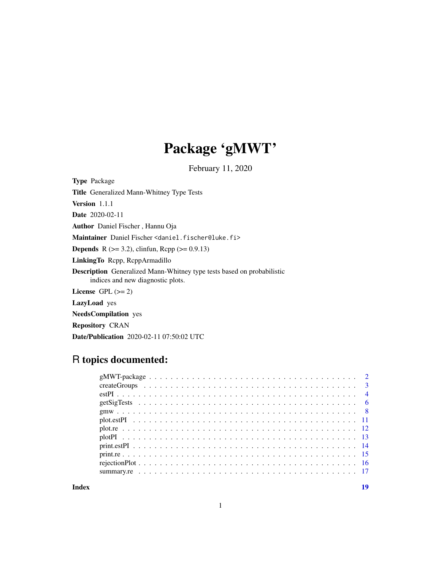## Package 'gMWT'

February 11, 2020

Type Package

Title Generalized Mann-Whitney Type Tests

Version 1.1.1

Date 2020-02-11

Author Daniel Fischer , Hannu Oja

Maintainer Daniel Fischer <daniel.fischer@luke.fi>

**Depends** R ( $>= 3.2$ ), clinfun, Rcpp ( $>= 0.9.13$ )

LinkingTo Rcpp, RcppArmadillo

Description Generalized Mann-Whitney type tests based on probabilistic indices and new diagnostic plots.

License GPL  $(>= 2)$ 

LazyLoad yes

NeedsCompilation yes

Repository CRAN

Date/Publication 2020-02-11 07:50:02 UTC

### R topics documented:

**Index** 2008 **Index** 2008 **Index**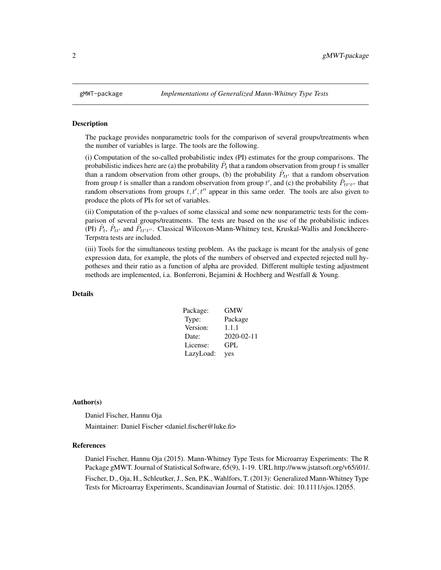<span id="page-1-0"></span>

The package provides nonparametric tools for the comparison of several groups/treatments when the number of variables is large. The tools are the following.

(i) Computation of the so-called probabilistic index (PI) estimates for the group comparisons. The probabilistic indices here are (a) the probability  $\hat{P}_t$  that a random observation from group t is smaller than a random observation from other groups, (b) the probability  $\hat{P}_{tt'}$  that a random observation from group t is smaller than a random observation from group t', and (c) the probability  $\hat{P}_{tt't'}$  that random observations from groups  $t, t', t''$  appear in this same order. The tools are also given to produce the plots of PIs for set of variables.

(ii) Computation of the p-values of some classical and some new nonparametric tests for the comparison of several groups/treatments. The tests are based on the use of the probabilistic indices (PI)  $\hat{P}_t$ ,  $\hat{P}_{tt'}$  and  $\hat{P}_{tt't''}$ . Classical Wilcoxon-Mann-Whitney test, Kruskal-Wallis and Jonckheere-Terpstra tests are included.

(iii) Tools for the simultaneous testing problem. As the package is meant for the analysis of gene expression data, for example, the plots of the numbers of observed and expected rejected null hypotheses and their ratio as a function of alpha are provided. Different multiple testing adjustment methods are implemented, i.a. Bonferroni, Bejamini & Hochberg and Westfall & Young.

#### Details

| Package:  | GMW              |
|-----------|------------------|
| Type:     | Package          |
| Version:  | 1.1.1            |
| Date:     | $2020 - 02 - 11$ |
| License:  | GPL              |
| LazyLoad: | yes              |

#### Author(s)

Daniel Fischer, Hannu Oja

Maintainer: Daniel Fischer <daniel.fischer@luke.fi>

#### References

Daniel Fischer, Hannu Oja (2015). Mann-Whitney Type Tests for Microarray Experiments: The R Package gMWT. Journal of Statistical Software, 65(9), 1-19. URL http://www.jstatsoft.org/v65/i01/. Fischer, D., Oja, H., Schleutker, J., Sen, P.K., Wahlfors, T. (2013): Generalized Mann-Whitney Type Tests for Microarray Experiments, Scandinavian Journal of Statistic. doi: 10.1111/sjos.12055.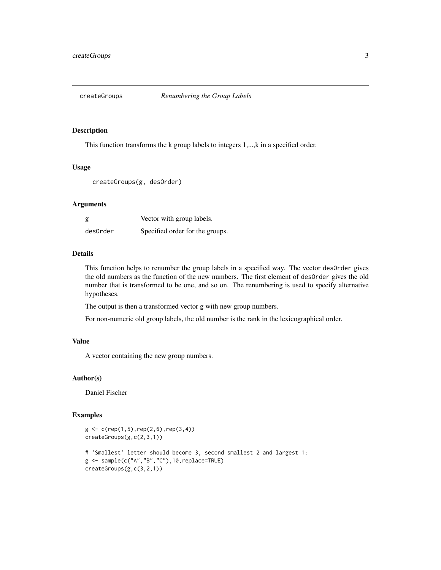<span id="page-2-1"></span><span id="page-2-0"></span>

This function transforms the k group labels to integers 1,...,k in a specified order.

#### Usage

```
createGroups(g, desOrder)
```
#### Arguments

| g        | Vector with group labels.       |
|----------|---------------------------------|
| desOrder | Specified order for the groups. |

#### Details

This function helps to renumber the group labels in a specified way. The vector desOrder gives the old numbers as the function of the new numbers. The first element of desOrder gives the old number that is transformed to be one, and so on. The renumbering is used to specify alternative hypotheses.

The output is then a transformed vector g with new group numbers.

For non-numeric old group labels, the old number is the rank in the lexicographical order.

#### Value

A vector containing the new group numbers.

#### Author(s)

Daniel Fischer

```
g \leftarrow c(rep(1,5),rep(2,6),rep(3,4))createGroups(g,c(2,3,1))
# 'Smallest' letter should become 3, second smallest 2 and largest 1:
g <- sample(c("A","B","C"),10,replace=TRUE)
createGroups(g,c(3,2,1))
```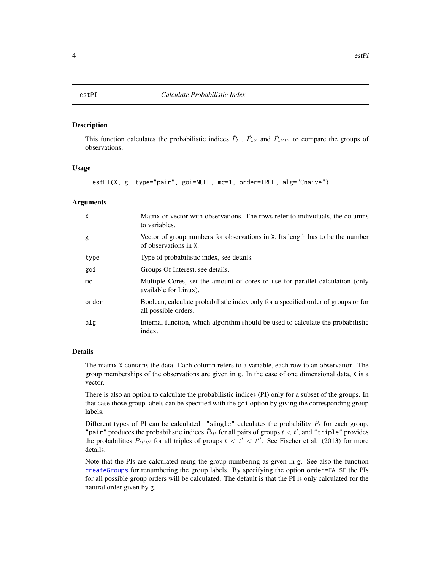<span id="page-3-1"></span><span id="page-3-0"></span>This function calculates the probabilistic indices  $\hat{P}_t$ ,  $\hat{P}_{tt'}$  and  $\hat{P}_{tt't''}$  to compare the groups of observations.

#### Usage

```
estPI(X, g, type="pair", goi=NULL, mc=1, order=TRUE, alg="Cnaive")
```
#### Arguments

| Χ     | Matrix or vector with observations. The rows refer to individuals, the columns<br>to variables.            |
|-------|------------------------------------------------------------------------------------------------------------|
| g     | Vector of group numbers for observations in X. Its length has to be the number<br>of observations in X.    |
| type  | Type of probabilistic index, see details.                                                                  |
| goi   | Groups Of Interest, see details.                                                                           |
| mc.   | Multiple Cores, set the amount of cores to use for parallel calculation (only<br>available for Linux).     |
| order | Boolean, calculate probabilistic index only for a specified order of groups or for<br>all possible orders. |
| alg   | Internal function, which algorithm should be used to calculate the probabilistic<br>index.                 |

#### Details

The matrix X contains the data. Each column refers to a variable, each row to an observation. The group memberships of the observations are given in g. In the case of one dimensional data, X is a vector.

There is also an option to calculate the probabilistic indices (PI) only for a subset of the groups. In that case those group labels can be specified with the goi option by giving the corresponding group labels.

Different types of PI can be calculated: "single" calculates the probability  $\hat{P}_t$  for each group, "pair" produces the probabilistic indices  $\hat{P}_{tt'}$  for all pairs of groups  $t < t'$ , and "triple" provides the probabilities  $\hat{P}_{tt't''}$  for all triples of groups  $t < t' < t''$ . See Fischer et al. (2013) for more details.

Note that the PIs are calculated using the group numbering as given in g. See also the function [createGroups](#page-2-1) for renumbering the group labels. By specifying the option order=FALSE the PIs for all possible group orders will be calculated. The default is that the PI is only calculated for the natural order given by g.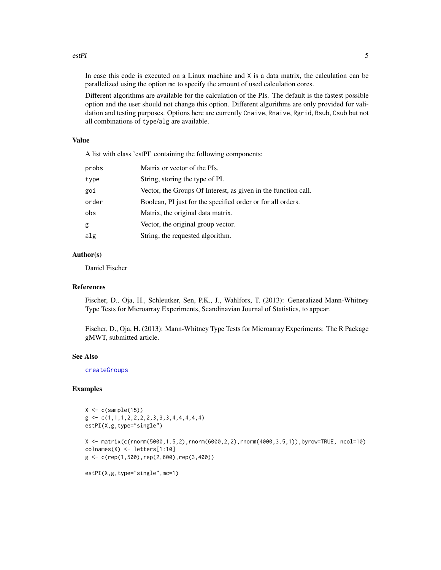#### <span id="page-4-0"></span>estPI 5

In case this code is executed on a Linux machine and X is a data matrix, the calculation can be parallelized using the option mc to specify the amount of used calculation cores.

Different algorithms are available for the calculation of the PIs. The default is the fastest possible option and the user should not change this option. Different algorithms are only provided for validation and testing purposes. Options here are currently Cnaive, Rnaive, Rgrid, Rsub, Csub but not all combinations of type/alg are available.

#### Value

A list with class 'estPI' containing the following components:

| probs | Matrix or vector of the PIs.                                   |
|-------|----------------------------------------------------------------|
| type  | String, storing the type of PI.                                |
| goi   | Vector, the Groups Of Interest, as given in the function call. |
| order | Boolean, PI just for the specified order or for all orders.    |
| obs   | Matrix, the original data matrix.                              |
| g     | Vector, the original group vector.                             |
| alg   | String, the requested algorithm.                               |

#### Author(s)

Daniel Fischer

#### References

Fischer, D., Oja, H., Schleutker, Sen, P.K., J., Wahlfors, T. (2013): Generalized Mann-Whitney Type Tests for Microarray Experiments, Scandinavian Journal of Statistics, to appear.

Fischer, D., Oja, H. (2013): Mann-Whitney Type Tests for Microarray Experiments: The R Package gMWT, submitted article.

#### See Also

[createGroups](#page-2-1)

```
X \leftarrow c(sample(15))g \leftarrow c(1,1,1,2,2,2,2,3,3,3,4,4,4,4,4)estPI(X,g,type="single")
X <- matrix(c(rnorm(5000,1.5,2),rnorm(6000,2,2),rnorm(4000,3.5,1)),byrow=TRUE, ncol=10)
colnames(X) <- letters[1:10]
g <- c(rep(1,500),rep(2,600),rep(3,400))
estPI(X,g,type="single",mc=1)
```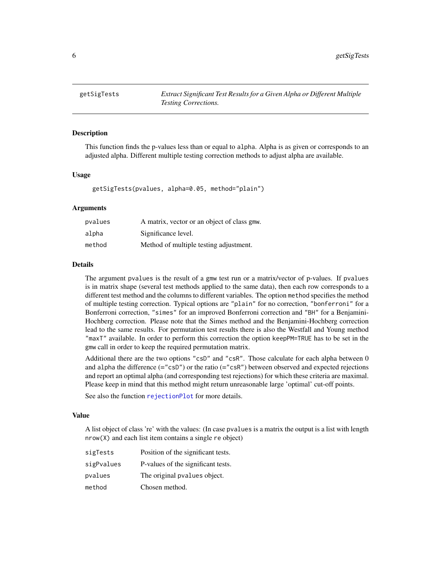<span id="page-5-1"></span><span id="page-5-0"></span>

This function finds the p-values less than or equal to alpha. Alpha is as given or corresponds to an adjusted alpha. Different multiple testing correction methods to adjust alpha are available.

#### Usage

getSigTests(pvalues, alpha=0.05, method="plain")

#### Arguments

| pvalues | A matrix, vector or an object of class gmw. |
|---------|---------------------------------------------|
| alpha   | Significance level.                         |
| method  | Method of multiple testing adjustment.      |

#### Details

The argument pvalues is the result of a gmw test run or a matrix/vector of p-values. If pvalues is in matrix shape (several test methods applied to the same data), then each row corresponds to a different test method and the columns to different variables. The option method specifies the method of multiple testing correction. Typical options are "plain" for no correction, "bonferroni" for a Bonferroni correction, "simes" for an improved Bonferroni correction and "BH" for a Benjamini-Hochberg correction. Please note that the Simes method and the Benjamini-Hochberg correction lead to the same results. For permutation test results there is also the Westfall and Young method "maxT" available. In order to perform this correction the option keepPM=TRUE has to be set in the gmw call in order to keep the required permutation matrix.

Additional there are the two options "csD" and "csR". Those calculate for each alpha between 0 and alpha the difference (="csD") or the ratio (="csR") between observed and expected rejections and report an optimal alpha (and corresponding test rejections) for which these criteria are maximal. Please keep in mind that this method might return unreasonable large 'optimal' cut-off points.

See also the function [rejectionPlot](#page-15-1) for more details.

#### Value

A list object of class 're' with the values: (In case pvalues is a matrix the output is a list with length nrow(X) and each list item contains a single re object)

| sigTests   | Position of the significant tests. |
|------------|------------------------------------|
| sigPvalues | P-values of the significant tests. |
| pvalues    | The original pvalues object.       |
| method     | Chosen method.                     |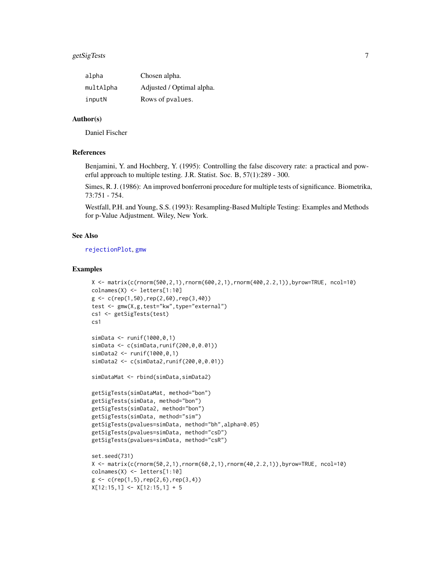#### <span id="page-6-0"></span>getSigTests 7

| alpha     | Chosen alpha.             |
|-----------|---------------------------|
| multAlpha | Adjusted / Optimal alpha. |
| inputN    | Rows of pvalues.          |

#### Author(s)

Daniel Fischer

#### References

Benjamini, Y. and Hochberg, Y. (1995): Controlling the false discovery rate: a practical and powerful approach to multiple testing. J.R. Statist. Soc. B, 57(1):289 - 300.

Simes, R. J. (1986): An improved bonferroni procedure for multiple tests of significance. Biometrika, 73:751 - 754.

Westfall, P.H. and Young, S.S. (1993): Resampling-Based Multiple Testing: Examples and Methods for p-Value Adjustment. Wiley, New York.

#### See Also

[rejectionPlot](#page-15-1), [gmw](#page-7-1)

```
X <- matrix(c(rnorm(500,2,1),rnorm(600,2,1),rnorm(400,2.2,1)),byrow=TRUE, ncol=10)
colnames(X) <- letters[1:10]
g \leftarrow c(\text{rep}(1,50),\text{rep}(2,60),\text{rep}(3,40))test <- gmw(X,g,test="kw",type="external")
cs1 <- getSigTests(test)
cs1
simData <- runif(1000,0,1)
simData <- c(simData,runif(200,0,0.01))
simData2 <- runif(1000,0,1)
simData2 <- c(simData2,runif(200,0,0.01))
simDataMat <- rbind(simData,simData2)
getSigTests(simDataMat, method="bon")
getSigTests(simData, method="bon")
getSigTests(simData2, method="bon")
getSigTests(simData, method="sim")
getSigTests(pvalues=simData, method="bh",alpha=0.05)
getSigTests(pvalues=simData, method="csD")
getSigTests(pvalues=simData, method="csR")
set.seed(731)
X \leq - matrix(c(rnorm(50,2,1),rnorm(60,2,1),rnorm(40,2.2,1)),byrow=TRUE, ncol=10)
colnames(X) <- letters[1:10]
g \leftarrow c(rep(1,5),rep(2,6),rep(3,4))X[12:15,1] \leftarrow X[12:15,1] + 5
```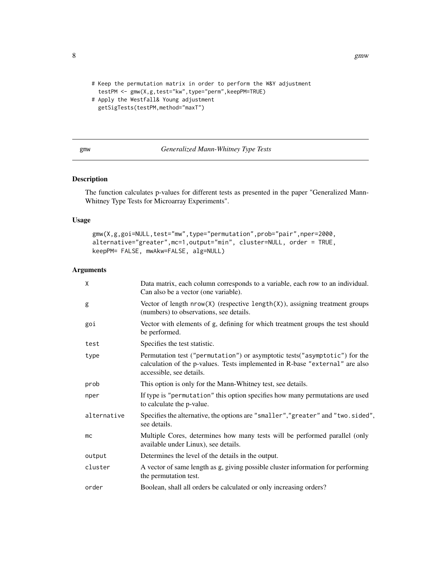```
8 gmw
```

```
# Keep the permutation matrix in order to perform the W&Y adjustment
 testPM <- gmw(X,g,test="kw",type="perm",keepPM=TRUE)
# Apply the Westfall& Young adjustment
 getSigTests(testPM,method="maxT")
```
#### <span id="page-7-1"></span>gmw *Generalized Mann-Whitney Type Tests*

#### Description

The function calculates p-values for different tests as presented in the paper "Generalized Mann-Whitney Type Tests for Microarray Experiments".

#### Usage

```
gmw(X,g,goi=NULL,test="mw",type="permutation",prob="pair",nper=2000,
alternative="greater",mc=1,output="min", cluster=NULL, order = TRUE,
keepPM= FALSE, mwAkw=FALSE, alg=NULL)
```
#### Arguments

| X           | Data matrix, each column corresponds to a variable, each row to an individual.<br>Can also be a vector (one variable).                                                                  |
|-------------|-----------------------------------------------------------------------------------------------------------------------------------------------------------------------------------------|
| g           | Vector of length $nrow(X)$ (respective length $(X)$ ), assigning treatment groups<br>(numbers) to observations, see details.                                                            |
| goi         | Vector with elements of g, defining for which treatment groups the test should<br>be performed.                                                                                         |
| test        | Specifies the test statistic.                                                                                                                                                           |
| type        | Permutation test ("permutation") or asymptotic tests ("asymptotic") for the<br>calculation of the p-values. Tests implemented in R-base "external" are also<br>accessible, see details. |
| prob        | This option is only for the Mann-Whitney test, see details.                                                                                                                             |
| nper        | If type is "permutation" this option specifies how many permutations are used<br>to calculate the p-value.                                                                              |
| alternative | Specifies the alternative, the options are "smaller", "greater" and "two.sided",<br>see details.                                                                                        |
| mc          | Multiple Cores, determines how many tests will be performed parallel (only<br>available under Linux), see details.                                                                      |
| output      | Determines the level of the details in the output.                                                                                                                                      |
| cluster     | A vector of same length as g, giving possible cluster information for performing<br>the permutation test.                                                                               |
| order       | Boolean, shall all orders be calculated or only increasing orders?                                                                                                                      |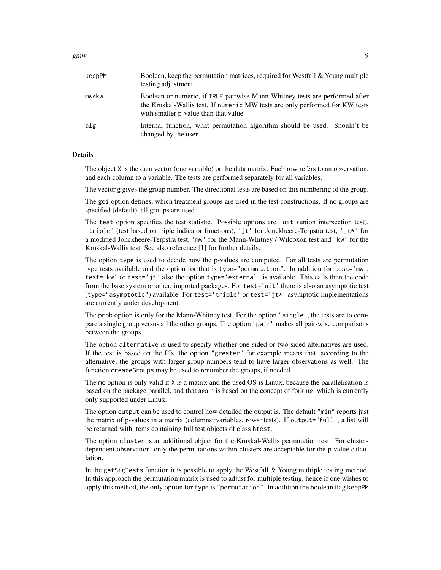#### $g$ mw 9

| keepPM | Boolean, keep the permutation matrices, required for Westfall $\&$ Young multiple<br>testing adjustment.                                                                                             |
|--------|------------------------------------------------------------------------------------------------------------------------------------------------------------------------------------------------------|
| mwAkw  | Boolean or numeric, if TRUE pairwise Mann-Whitney tests are performed after<br>the Kruskal-Wallis test. If numeric MW tests are only performed for KW tests<br>with smaller p-value than that value. |
| alg    | Internal function, what permutation algorithm should be used. Shouln't be<br>changed by the user.                                                                                                    |

#### Details

The object X is the data vector (one variable) or the data matrix. Each row refers to an observation, and each column to a variable. The tests are performed separately for all variables.

The vector g gives the group number. The directional tests are based on this numbering of the group.

The goi option defines, which treatment groups are used in the test constructions. If no groups are specified (default), all groups are used.

The test option specifies the test statistic. Possible options are 'uit'(union intersection test), 'triple' (test based on triple indicator functions), 'jt' for Jonckheere-Terpstra test, 'jt\*' for a modified Jonckheere-Terpstra test, 'mw' for the Mann-Whitney / Wilcoxon test and 'kw' for the Kruskal-Wallis test. See also reference [1] for further details.

The option type is used to decide how the p-values are computed. For all tests are permutation type tests available and the option for that is type="permutation". In addition for test='mw', test='kw' or test='jt' also the option type='external' is available. This calls then the code from the base system or other, imported packages. For test='uit' there is also an asymptotic test (type="asymptotic") available. For test='triple' or test='jt\*' asymptotic implementations are currently under development.

The prob option is only for the Mann-Whitney test. For the option "single", the tests are to compare a single group versus all the other groups. The option "pair" makes all pair-wise comparisons between the groups.

The option alternative is used to specify whether one-sided or two-sided alternatives are used. If the test is based on the PIs, the option "greater" for example means that, according to the alternative, the groups with larger group numbers tend to have larger observations as well. The function createGroups may be used to renumber the groups, if needed.

The mc option is only valid if  $X$  is a matrix and the used OS is Linux, because the parallelisation is based on the package parallel, and that again is based on the concept of forking, which is currently only supported under Linux.

The option output can be used to control how detailed the output is. The default "min" reports just the matrix of p-values in a matrix (columns=variables, rows=tests). If output="full", a list will be returned with items containing full test objects of class htest.

The option cluster is an additional object for the Kruskal-Wallis permutation test. For clusterdependent observation, only the permutations within clusters are acceptable for the p-value calculation.

In the getSigTests function it is possible to apply the Westfall  $&$  Young multiple testing method. In this approach the permutation matrix is used to adjust for multiple testing, hence if one wishes to apply this method, the only option for type is "permutation". In addition the boolean flag keepPM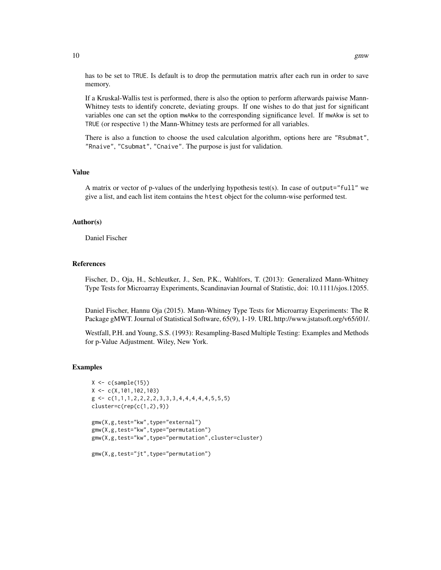has to be set to TRUE. Is default is to drop the permutation matrix after each run in order to save memory.

If a Kruskal-Wallis test is performed, there is also the option to perform afterwards paiwise Mann-Whitney tests to identify concrete, deviating groups. If one wishes to do that just for significant variables one can set the option mwAkw to the corresponding significance level. If mwAkw is set to TRUE (or respective 1) the Mann-Whitney tests are performed for all variables.

There is also a function to choose the used calculation algorithm, options here are "Rsubmat", "Rnaive", "Csubmat", "Cnaive". The purpose is just for validation.

#### Value

A matrix or vector of p-values of the underlying hypothesis test(s). In case of output="full" we give a list, and each list item contains the htest object for the column-wise performed test.

#### Author(s)

Daniel Fischer

#### References

Fischer, D., Oja, H., Schleutker, J., Sen, P.K., Wahlfors, T. (2013): Generalized Mann-Whitney Type Tests for Microarray Experiments, Scandinavian Journal of Statistic, doi: 10.1111/sjos.12055.

Daniel Fischer, Hannu Oja (2015). Mann-Whitney Type Tests for Microarray Experiments: The R Package gMWT. Journal of Statistical Software, 65(9), 1-19. URL http://www.jstatsoft.org/v65/i01/.

Westfall, P.H. and Young, S.S. (1993): Resampling-Based Multiple Testing: Examples and Methods for p-Value Adjustment. Wiley, New York.

```
X \leftarrow c(sample(15))X \leftarrow c(X, 101, 102, 103)g \leftarrow c(1,1,1,2,2,2,2,3,3,3,4,4,4,4,4,5,5,5)cluster=c(rep(c(1,2),9))gmw(X,g,test="kw",type="external")
gmw(X,g,test="kw",type="permutation")
gmw(X,g,test="kw",type="permutation",cluster=cluster)
gmw(X,g,test="jt",type="permutation")
```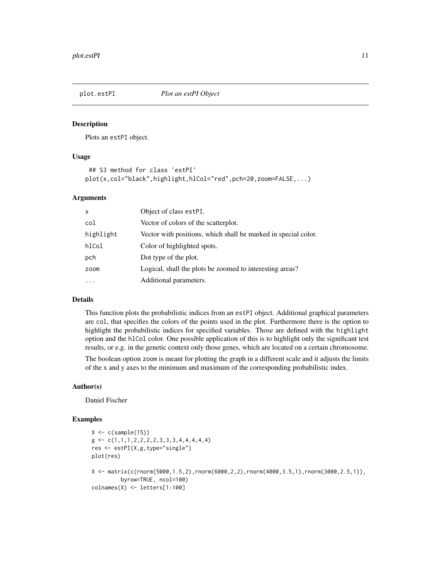<span id="page-10-1"></span><span id="page-10-0"></span>

Plots an estPI object.

#### Usage

```
## S3 method for class 'estPI'
plot(x,col="black",highlight,hlCol="red",pch=20,zoom=FALSE,...)
```
#### Arguments

| $\mathsf{x}$ | Object of class estPI.                                         |
|--------------|----------------------------------------------------------------|
| col          | Vector of colors of the scatterplot.                           |
| highlight    | Vector with positions, which shall be marked in special color. |
| hlCol        | Color of highlighted spots.                                    |
| pch          | Dot type of the plot.                                          |
| zoom         | Logical, shall the plots be zoomed to interesting areas?       |
|              | Additional parameters.                                         |
|              |                                                                |

#### Details

This function plots the probabilistic indices from an estPI object. Additional graphical parameters are col, that specifies the colors of the points used in the plot. Furthermore there is the option to highlight the probabilistic indices for specified variables. Those are defined with the highlight option and the hlCol color. One possible application of this is to highlight only the significant test results, or e.g. in the genetic context only those genes, which are located on a certain chromosome.

The boolean option zoom is meant for plotting the graph in a different scale and it adjusts the limits of the x and y axes to the minimum and maximum of the corresponding probabilistic index.

#### Author(s)

Daniel Fischer

```
X \leftarrow c(sample(15))g \leftarrow c(1,1,1,2,2,2,2,3,3,3,4,4,4,4,4)res <- estPI(X,g,type="single")
plot(res)
X <- matrix(c(rnorm(5000,1.5,2),rnorm(6000,2,2),rnorm(4000,3.5,1),rnorm(3000,2.5,1)),
         byrow=TRUE, ncol=100)
colnames(X) <- letters[1:100]
```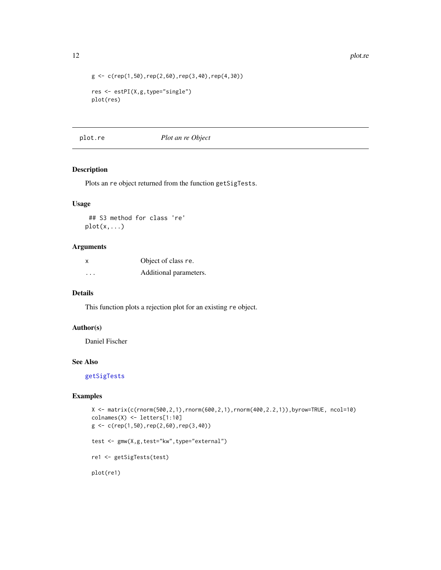```
g \leftarrow c(\text{rep}(1,50),\text{rep}(2,60),\text{rep}(3,40),\text{rep}(4,30))res <- estPI(X,g,type="single")
plot(res)
```
#### plot.re *Plot an re Object*

#### Description

Plots an re object returned from the function getSigTests.

#### Usage

## S3 method for class 're'  $plot(x,...)$ 

#### Arguments

| x                       | Object of class re.    |
|-------------------------|------------------------|
| $\cdot$ $\cdot$ $\cdot$ | Additional parameters. |

#### Details

This function plots a rejection plot for an existing re object.

#### Author(s)

Daniel Fischer

#### See Also

[getSigTests](#page-5-1)

#### Examples

```
X <- matrix(c(rnorm(500,2,1),rnorm(600,2,1),rnorm(400,2.2,1)),byrow=TRUE, ncol=10)
colnames(X) <- letters[1:10]
g \leftarrow c(rep(1,50),rep(2,60),rep(3,40))test <- gmw(X,g,test="kw",type="external")
re1 <- getSigTests(test)
```
plot(re1)

<span id="page-11-0"></span>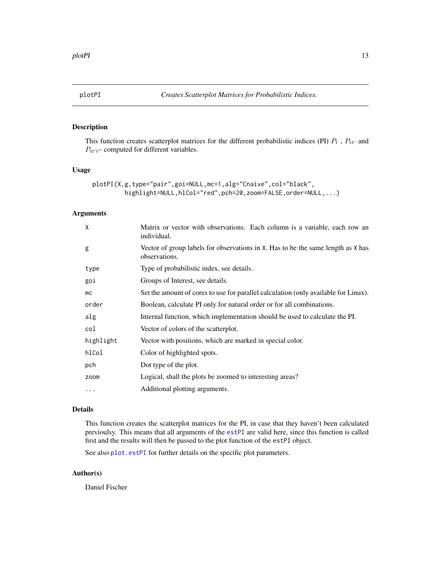<span id="page-12-0"></span>

This function creates scatterplot matrices for the different probabilistic indices (PI)  $P_t$ ,  $P_{tt'}$  and  $P_{tt't''}$  computed for different variables.

#### Usage

```
plotPI(X,g,type="pair",goi=NULL,mc=1,alg="Cnaive",col="black",
         highlight=NULL,hlCol="red",pch=20,zoom=FALSE,order=NULL,...)
```
#### Arguments

| X         | Matrix or vector with observations. Each column is a variable, each row an<br>individual.         |
|-----------|---------------------------------------------------------------------------------------------------|
| g         | Vector of group labels for observations in X. Has to be the same length as X has<br>observations. |
| type      | Type of probabilistic index, see details.                                                         |
| goi       | Groups of Interest, see details.                                                                  |
| mc        | Set the amount of cores to use for parallel calculation (only available for Linux).               |
| order     | Boolean, calculate PI only for natural order or for all combinations.                             |
| alg       | Internal function, which implementation should be used to calculate the PI.                       |
| col       | Vector of colors of the scatterplot.                                                              |
| highlight | Vector with positions, which are marked in special color.                                         |
| hlCol     | Color of highlighted spots.                                                                       |
| pch       | Dot type of the plot.                                                                             |
| zoom      | Logical, shall the plots be zoomed to interesting areas?                                          |
| $\cdots$  | Additional plotting arguments.                                                                    |

#### Details

This function creates the scatterplot matrices for the PI, in case that they haven't been calculated previoulsy. This means that all arguments of the [estPI](#page-3-1) are valid here, since this function is called first and the results will then be passed to the plot function of the estPI object.

See also [plot.estPI](#page-10-1) for further details on the specific plot parameters.

#### Author(s)

Daniel Fischer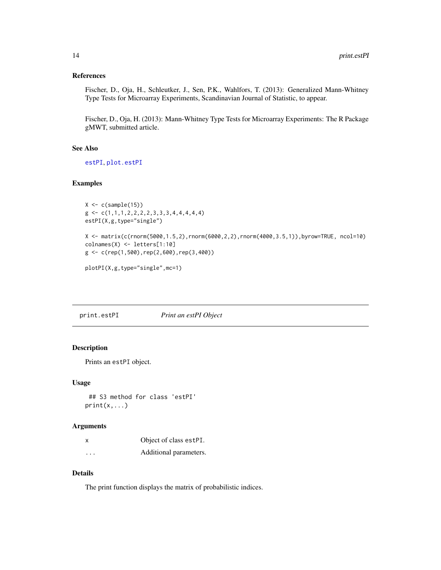#### <span id="page-13-0"></span>References

Fischer, D., Oja, H., Schleutker, J., Sen, P.K., Wahlfors, T. (2013): Generalized Mann-Whitney Type Tests for Microarray Experiments, Scandinavian Journal of Statistic, to appear.

Fischer, D., Oja, H. (2013): Mann-Whitney Type Tests for Microarray Experiments: The R Package gMWT, submitted article.

#### See Also

[estPI](#page-3-1), [plot.estPI](#page-10-1)

#### Examples

```
X \leftarrow c(sample(15))g \leftarrow c(1,1,1,2,2,2,2,3,3,3,4,4,4,4,4)estPI(X,g,type="single")
```

```
X <- matrix(c(rnorm(5000,1.5,2),rnorm(6000,2,2),rnorm(4000,3.5,1)),byrow=TRUE, ncol=10)
colnames(X) <- letters[1:10]
g <- c(rep(1,500),rep(2,600),rep(3,400))
```

```
plotPI(X,g,type="single",mc=1)
```
print.estPI *Print an estPI Object*

#### Description

Prints an estPI object.

#### Usage

```
## S3 method for class 'estPI'
print(x, \ldots)
```
#### Arguments

| x                       | Object of class estPI. |
|-------------------------|------------------------|
| $\cdot$ $\cdot$ $\cdot$ | Additional parameters. |

#### Details

The print function displays the matrix of probabilistic indices.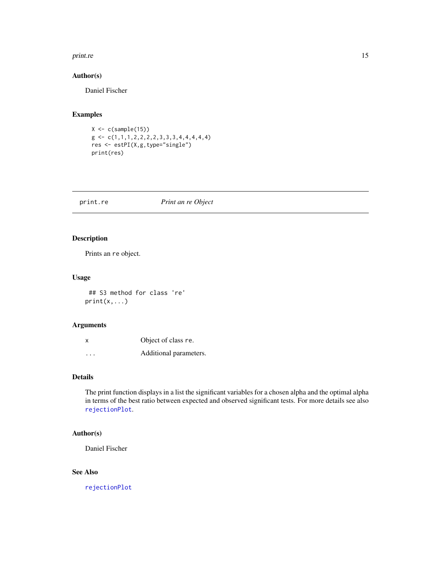#### <span id="page-14-0"></span>print.re the contract of the contract of the contract of the contract of the contract of the contract of the contract of the contract of the contract of the contract of the contract of the contract of the contract of the c

#### Author(s)

Daniel Fischer

### Examples

```
X \leftarrow c(sample(15))g \leftarrow c(1,1,1,2,2,2,2,3,3,3,4,4,4,4,4)res <- estPI(X,g,type="single")
print(res)
```
print.re *Print an re Object*

#### Description

Prints an re object.

#### Usage

## S3 method for class 're'  $print(x, \ldots)$ 

#### Arguments

| X        | Object of class re.    |
|----------|------------------------|
| $\cdots$ | Additional parameters. |

#### Details

The print function displays in a list the significant variables for a chosen alpha and the optimal alpha in terms of the best ratio between expected and observed significant tests. For more details see also [rejectionPlot](#page-15-1).

#### Author(s)

Daniel Fischer

#### See Also

[rejectionPlot](#page-15-1)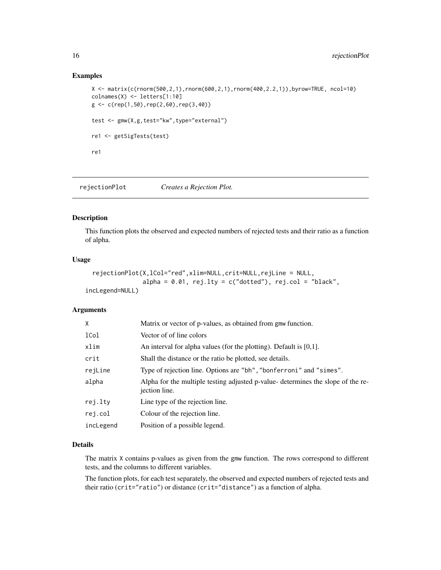#### Examples

```
X \leftarrow \text{matrix}(c(\text{rnorm}(500, 2, 1), \text{rnorm}(600, 2, 1), \text{rnorm}(400, 2.2, 1)), by row = TRUE, ncol = 10)colnames(X) <- letters[1:10]
g \leftarrow c(rep(1,50),rep(2,60),rep(3,40))test <- gmw(X,g,test="kw",type="external")
re1 <- getSigTests(test)
re1
```
<span id="page-15-1"></span>rejectionPlot *Creates a Rejection Plot.*

#### Description

This function plots the observed and expected numbers of rejected tests and their ratio as a function of alpha.

#### Usage

```
rejectionPlot(X,lCol="red",xlim=NULL,crit=NULL,rejLine = NULL,
                alpha = 0.01, rej.lty = c("dotted"), rej.col = "black",
incLegend=NULL)
```
#### **Arguments**

| X         | Matrix or vector of p-values, as obtained from gmw function.                                      |
|-----------|---------------------------------------------------------------------------------------------------|
| 1Col      | Vector of of line colors                                                                          |
| xlim      | An interval for alpha values (for the plotting). Default is $[0,1]$ .                             |
| crit      | Shall the distance or the ratio be plotted, see details.                                          |
| rejLine   | Type of rejection line. Options are "bh", "bonferroni" and "simes".                               |
| alpha     | Alpha for the multiple testing adjusted p-value- determines the slope of the re-<br>jection line. |
| rej.lty   | Line type of the rejection line.                                                                  |
| rej.col   | Colour of the rejection line.                                                                     |
| incLegend | Position of a possible legend.                                                                    |

#### Details

The matrix X contains p-values as given from the gmw function. The rows correspond to different tests, and the columns to different variables.

The function plots, for each test separately, the observed and expected numbers of rejected tests and their ratio (crit="ratio") or distance (crit="distance") as a function of alpha.

<span id="page-15-0"></span>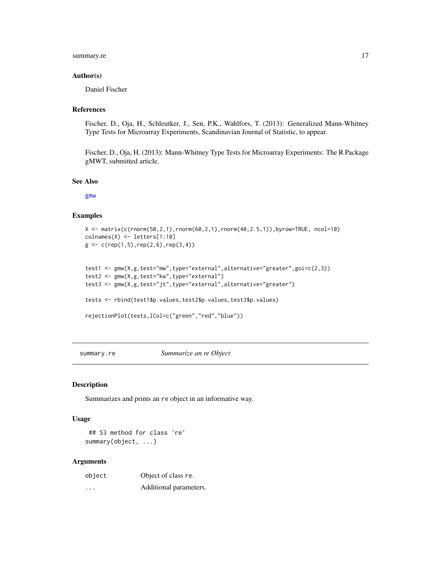#### <span id="page-16-0"></span>summary.re 17

#### Author(s)

Daniel Fischer

#### References

Fischer, D., Oja, H., Schleutker, J., Sen, P.K., Wahlfors, T. (2013): Generalized Mann-Whitney Type Tests for Microarray Experiments, Scandinavian Journal of Statistic, to appear.

Fischer, D., Oja, H. (2013): Mann-Whitney Type Tests for Microarray Experiments: The R Package gMWT, submitted article.

#### See Also

[gmw](#page-7-1)

#### Examples

```
X <- matrix(c(rnorm(50,2,1),rnorm(60,2,1),rnorm(40,2.5,1)),byrow=TRUE, ncol=10)
colnames(X) <- letters[1:10]
g \leftarrow c(rep(1,5),rep(2,6),rep(3,4))
```

```
test1 <- gmw(X,g,test="mw",type="external",alternative="greater",goi=c(2,3))
test2 <- gmw(X,g,test="kw",type="external")
test3 <- gmw(X,g,test="jt",type="external",alternative="greater")
```

```
tests <- rbind(test1$p.values,test2$p.values,test3$p.values)
```

```
rejectionPlot(tests,lCol=c("green","red","blue"))
```
summary.re *Summarize an re Object*

#### Description

Summarizes and prints an re object in an informative way.

#### Usage

## S3 method for class 're' summary(object, ...)

#### Arguments

| object   | Object of class re.    |
|----------|------------------------|
| $\cdots$ | Additional parameters. |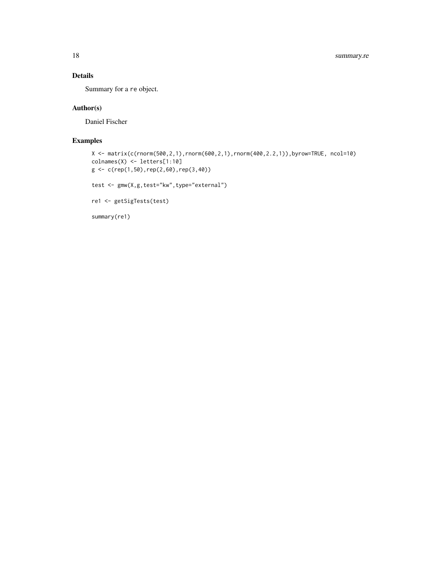#### Details

Summary for a re object.

#### Author(s)

Daniel Fischer

#### Examples

```
X <- matrix(c(rnorm(500,2,1),rnorm(600,2,1),rnorm(400,2.2,1)),byrow=TRUE, ncol=10)
colnames(X) <- letters[1:10]
g \leftarrow c(rep(1,50),rep(2,60),rep(3,40))test <- gmw(X,g,test="kw",type="external")
```
re1 <- getSigTests(test)

summary(re1)